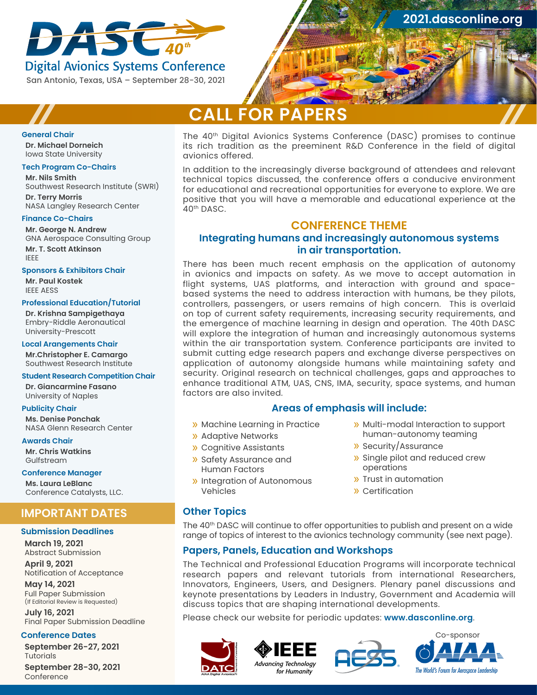

# **Digital Avionics Systems Conference** San Antonio, Texas, USA – September 28-30, 2021

**[2021.dasconline.org](http://2020.dasconline.org)**

# **CALL FOR PAPERS**

#### **General Chair**

**Dr. Michael Dorneich** Iowa State University

#### **Tech Program Co-Chairs**

**Mr. Nils Smith** Southwest Research Institute (SWRI)

**Dr. Terry Morris** NASA Langley Research Center

#### **Finance Co-Chairs**

**Mr. George N. Andrew** GNA Aerospace Consulting Group **Mr. T. Scott Atkinson** IEEE

#### **Sponsors & Exhibitors Chair**

**Mr. Paul Kostek** IEEE AESS

#### **Professional Education/Tutorial**

**Dr. Krishna Sampigethaya** Embry-Riddle Aeronautical University-Prescott

#### **Local Arangements Chair**

**Mr.Christopher E. Camargo** Southwest Research Institute

#### **Student Research Competition Chair**

**Dr. Giancarmine Fasano** University of Naples

#### **Publicity Chair**

**Ms. Denise Ponchak** NASA Glenn Research Center

#### **Awards Chair**

**Mr. Chris Watkins** Gulfstream

## **Conference Manager**

**Ms. Laura LeBlanc** Conference Catalysts, LLC.

# **IMPORTANT DATES**

## **Submission Deadlines**

**March 19, 2021** Abstract Submission **April 9, 2021**

Notification of Acceptance **May 14, 2021**

Full Paper Submission (If Editorial Review is Requested)

**July 16, 2021** Final Paper Submission Deadline

## **Conference Dates**

**September 26-27, 2021 Tutorials** 

**September 28-30, 2021** Conference

The 40th Digital Avionics Systems Conference (DASC) promises to continue its rich tradition as the preeminent R&D Conference in the field of digital avionics offered.

In addition to the increasingly diverse background of attendees and relevant technical topics discussed, the conference offers a conducive environment for educational and recreational opportunities for everyone to explore. We are positive that you will have a memorable and educational experience at the 40th DASC.

# **CONFERENCE THEME**

# **Integrating humans and increasingly autonomous systems in air transportation.**

There has been much recent emphasis on the application of autonomy in avionics and impacts on safety. As we move to accept automation in flight systems, UAS platforms, and interaction with ground and spacebased systems the need to address interaction with humans, be they pilots, controllers, passengers, or users remains of high concern. This is overlaid on top of current safety requirements, increasing security requirements, and the emergence of machine learning in design and operation. The 40th DASC will explore the integration of human and increasingly autonomous systems within the air transportation system. Conference participants are invited to submit cutting edge research papers and exchange diverse perspectives on application of autonomy alongside humans while maintaining safety and security. Original research on technical challenges, gaps and approaches to enhance traditional ATM, UAS, CNS, IMA, security, space systems, and human factors are also invited.

## **Areas of emphasis will include:**

- » Machine Learning in Practice
- » Adaptive Networks
- » Cognitive Assistants
- » Safety Assurance and Human Factors
- » Integration of Autonomous Vehicles
- » Multi-modal Interaction to support human-autonomy teaming
- » Security/Assurance
- » Single pilot and reduced crew operations
- » Trust in automation
- » Certification

## **Other Topics**

The 40<sup>th</sup> DASC will continue to offer opportunities to publish and present on a wide range of topics of interest to the avionics technology community (see next page).

## **Papers, Panels, Education and Workshops**

The Technical and Professional Education Programs will incorporate technical research papers and relevant tutorials from international Researchers, Innovators, Engineers, Users, and Designers. Plenary panel discussions and keynote presentations by Leaders in Industry, Government and Academia will discuss topics that are shaping international developments.

Please check our website for periodic updates: **[www.dasconline.org](http://www.dasconline.org)**.